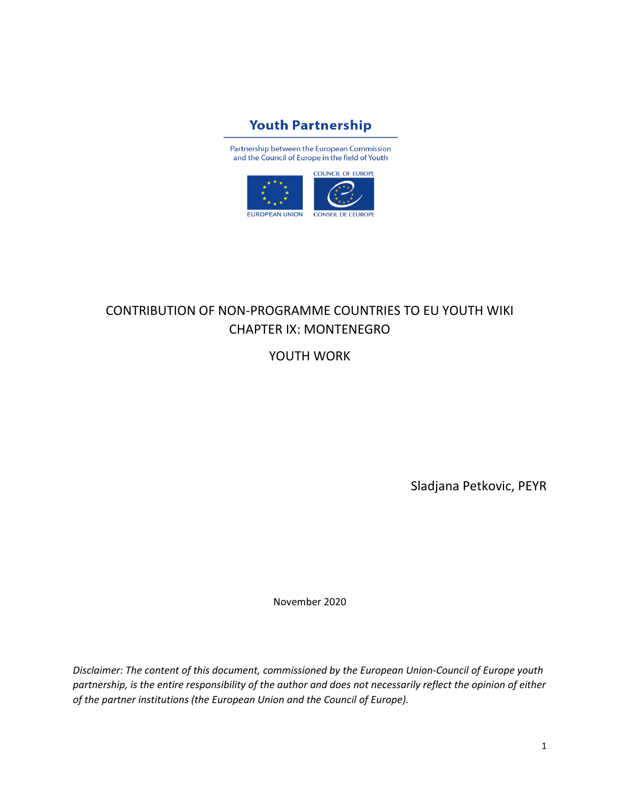

Partnership between the European Commission and the Council of Europe in the field of Youth



# CONTRIBUTION OF NON-PROGRAMME COUNTRIES TO EU YOUTH WIKI CHAPTER IX: MONTENEGRO

YOUTH WORK

Sladjana Petkovic, PEYR

November 2020

*Disclaimer: The content of this document, commissioned by the European Union-Council of Europe youth partnership, is the entire responsibility of the author and does not necessarily reflect the opinion of either of the partner institutions (the European Union and the Council of Europe).*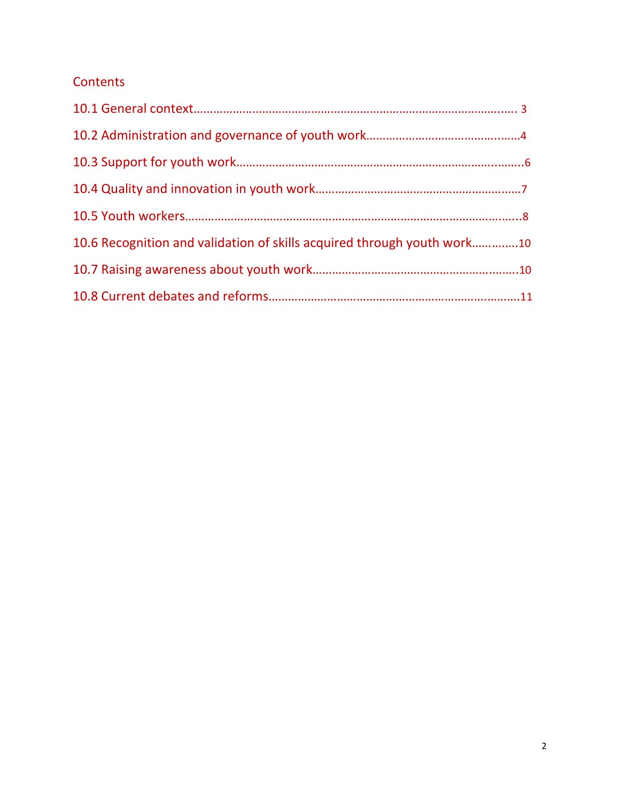# **Contents**

| 10.6 Recognition and validation of skills acquired through youth work10 |  |
|-------------------------------------------------------------------------|--|
|                                                                         |  |
|                                                                         |  |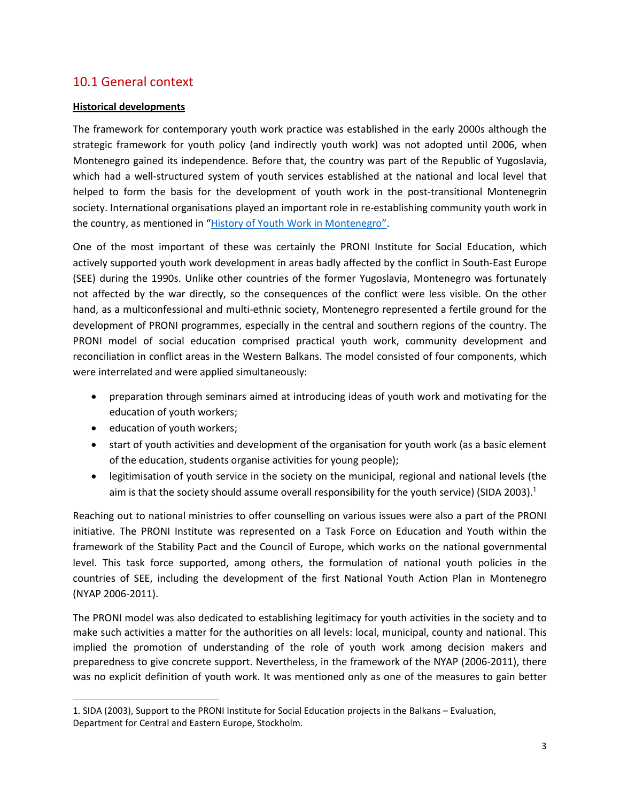### 10.1 General context

#### **Historical developments**

The framework for contemporary youth work practice was established in the early 2000s although the strategic framework for youth policy (and indirectly youth work) was not adopted until 2006, when Montenegro gained its independence. Before that, the country was part of the Republic of Yugoslavia, which had a well-structured system of youth services established at the national and local level that helped to form the basis for the development of youth work in the post-transitional Montenegrin society. International organisations played an important role in re-establishing community youth work in the country, as mentioned in "[History of Youth Work in Montenegro](https://pjp-eu.coe.int/documents/42128013/47262055/Montenegro.pdf/b9164413-e04d-4162-963a-9d56fdd2a42b)".

One of the most important of these was certainly the PRONI Institute for Social Education, which actively supported youth work development in areas badly affected by the conflict in South-East Europe (SEE) during the 1990s. Unlike other countries of the former Yugoslavia, Montenegro was fortunately not affected by the war directly, so the consequences of the conflict were less visible. On the other hand, as a multiconfessional and multi-ethnic society, Montenegro represented a fertile ground for the development of PRONI programmes, especially in the central and southern regions of the country. The PRONI model of social education comprised practical youth work, community development and reconciliation in conflict areas in the Western Balkans. The model consisted of four components, which were interrelated and were applied simultaneously:

- preparation through seminars aimed at introducing ideas of youth work and motivating for the education of youth workers;
- education of youth workers;
- start of youth activities and development of the organisation for youth work (as a basic element of the education, students organise activities for young people);
- legitimisation of youth service in the society on the municipal, regional and national levels (the aim is that the society should assume overall responsibility for the youth service) (SIDA 2003).<sup>1</sup>

Reaching out to national ministries to offer counselling on various issues were also a part of the PRONI initiative. The PRONI Institute was represented on a Task Force on Education and Youth within the framework of the Stability Pact and the Council of Europe, which works on the national governmental level. This task force supported, among others, the formulation of national youth policies in the countries of SEE, including the development of the first National Youth Action Plan in Montenegro (NYAP 2006-2011).

The PRONI model was also dedicated to establishing legitimacy for youth activities in the society and to make such activities a matter for the authorities on all levels: local, municipal, county and national. This implied the promotion of understanding of the role of youth work among decision makers and preparedness to give concrete support. Nevertheless, in the framework of the NYAP (2006-2011), there was no explicit definition of youth work. It was mentioned only as one of the measures to gain better

<sup>1.</sup> SIDA (2003), Support to the PRONI Institute for Social Education projects in the Balkans – Evaluation, Department for Central and Eastern Europe, Stockholm.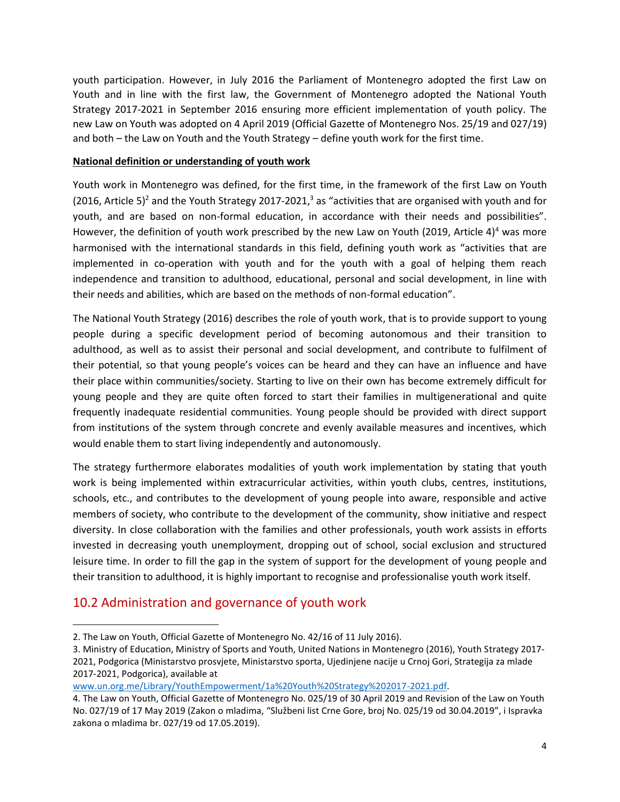youth participation. However, in July 2016 the Parliament of Montenegro adopted the first Law on Youth and in line with the first law, the Government of Montenegro adopted the National Youth Strategy 2017-2021 in September 2016 ensuring more efficient implementation of youth policy. The new Law on Youth was adopted on 4 April 2019 (Official Gazette of Montenegro Nos. 25/19 and 027/19) and both – the Law on Youth and the Youth Strategy – define youth work for the first time.

#### **National definition or understanding of youth work**

Youth work in Montenegro was defined, for the first time, in the framework of the first Law on Youth (2016, Article 5)<sup>2</sup> and the Youth Strategy 2017-2021,<sup>3</sup> as "activities that are organised with youth and for youth, and are based on non-formal education, in accordance with their needs and possibilities". However, the definition of youth work prescribed by the new Law on Youth (2019, Article 4)<sup>4</sup> was more harmonised with the international standards in this field, defining youth work as "activities that are implemented in co-operation with youth and for the youth with a goal of helping them reach independence and transition to adulthood, educational, personal and social development, in line with their needs and abilities, which are based on the methods of non-formal education".

The National Youth Strategy (2016) describes the role of youth work, that is to provide support to young people during a specific development period of becoming autonomous and their transition to adulthood, as well as to assist their personal and social development, and contribute to fulfilment of their potential, so that young people's voices can be heard and they can have an influence and have their place within communities/society. Starting to live on their own has become extremely difficult for young people and they are quite often forced to start their families in multigenerational and quite frequently inadequate residential communities. Young people should be provided with direct support from institutions of the system through concrete and evenly available measures and incentives, which would enable them to start living independently and autonomously.

The strategy furthermore elaborates modalities of youth work implementation by stating that youth work is being implemented within extracurricular activities, within youth clubs, centres, institutions, schools, etc., and contributes to the development of young people into aware, responsible and active members of society, who contribute to the development of the community, show initiative and respect diversity. In close collaboration with the families and other professionals, youth work assists in efforts invested in decreasing youth unemployment, dropping out of school, social exclusion and structured leisure time. In order to fill the gap in the system of support for the development of young people and their transition to adulthood, it is highly important to recognise and professionalise youth work itself.

### 10.2 Administration and governance of youth work

<sup>2.</sup> The Law on Youth, Official Gazette of Montenegro No. 42/16 of 11 July 2016).

<sup>3.</sup> Ministry of Education, Ministry of Sports and Youth, United Nations in Montenegro (2016), Youth Strategy 2017- 2021, Podgorica (Ministarstvo prosvjete, Ministarstvo sporta, Ujedinjene nacije u Crnoj Gori, Strategija za mlade 2017-2021, Podgorica), available at

[www.un.org.me/Library/YouthEmpowerment/1a%20Youth%20Strategy%202017-2021.pdf.](http://www.un.org.me/Library/YouthEmpowerment/1a%20Youth%20Strategy%202017-2021.pdf)

<sup>4.</sup> The Law on Youth, Official Gazette of Montenegro No. 025/19 of 30 April 2019 and Revision of the Law on Youth No. 027/19 of 17 May 2019 (Zakon o mladima, "Službeni list Crne Gore, broj No. 025/19 od 30.04.2019", i Ispravka zakona o mladima br. 027/19 od 17.05.2019).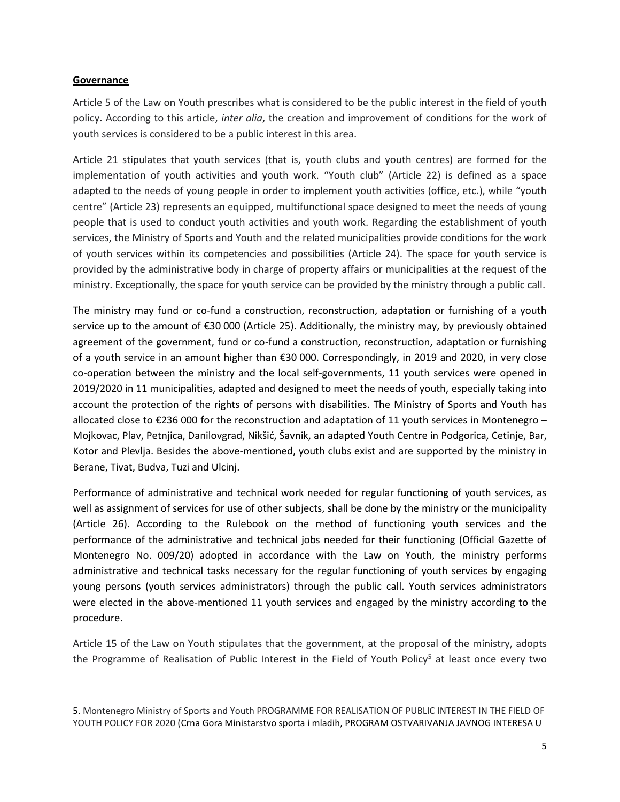#### **Governance**

Article 5 of the Law on Youth prescribes what is considered to be the public interest in the field of youth policy. According to this article, *inter alia*, the creation and improvement of conditions for the work of youth services is considered to be a public interest in this area.

Article 21 stipulates that youth services (that is, youth clubs and youth centres) are formed for the implementation of youth activities and youth work. "Youth club" (Article 22) is defined as a space adapted to the needs of young people in order to implement youth activities (office, etc.), while "youth centre" (Article 23) represents an equipped, multifunctional space designed to meet the needs of young people that is used to conduct youth activities and youth work. Regarding the establishment of youth services, the Ministry of Sports and Youth and the related municipalities provide conditions for the work of youth services within its competencies and possibilities (Article 24). The space for youth service is provided by the administrative body in charge of property affairs or municipalities at the request of the ministry. Exceptionally, the space for youth service can be provided by the ministry through a public call.

The ministry may fund or co-fund a construction, reconstruction, adaptation or furnishing of a youth service up to the amount of €30 000 (Article 25). Additionally, the ministry may, by previously obtained agreement of the government, fund or co-fund a construction, reconstruction, adaptation or furnishing of a youth service in an amount higher than €30 000. Correspondingly, in 2019 and 2020, in very close co-operation between the ministry and the local self-governments, 11 youth services were opened in 2019/2020 in 11 municipalities, adapted and designed to meet the needs of youth, especially taking into account the protection of the rights of persons with disabilities. The Ministry of Sports and Youth has allocated close to  $\epsilon$ 236 000 for the reconstruction and adaptation of 11 youth services in Montenegro – Mojkovac, Plav, Petnjica, Danilovgrad, Nikšić, Šavnik, an adapted Youth Centre in Podgorica, Cetinje, Bar, Kotor and Plevlja. Besides the above-mentioned, youth clubs exist and are supported by the ministry in Berane, Tivat, Budva, Tuzi and Ulcinj.

Performance of administrative and technical work needed for regular functioning of youth services, as well as assignment of services for use of other subjects, shall be done by the ministry or the municipality (Article 26). According to the Rulebook on the method of functioning youth services and the performance of the administrative and technical jobs needed for their functioning (Official Gazette of Montenegro No. 009/20) adopted in accordance with the Law on Youth, the ministry performs administrative and technical tasks necessary for the regular functioning of youth services by engaging young persons (youth services administrators) through the public call. Youth services administrators were elected in the above-mentioned 11 youth services and engaged by the ministry according to the procedure.

Article 15 of the Law on Youth stipulates that the government, at the proposal of the ministry, adopts the Programme of Realisation of Public Interest in the Field of Youth Policy<sup>5</sup> at least once every two

<sup>5.</sup> Montenegro Ministry of Sports and Youth PROGRAMME FOR REALISATION OF PUBLIC INTEREST IN THE FIELD OF YOUTH POLICY FOR 2020 (Crna Gora Ministarstvo sporta i mladih, PROGRAM OSTVARIVANJA JAVNOG INTERESA U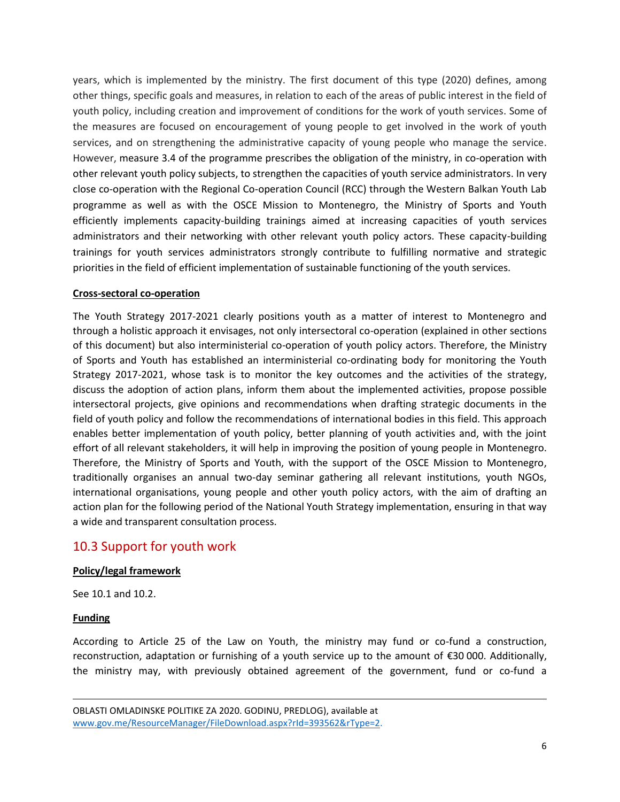years, which is implemented by the ministry. The first document of this type (2020) defines, among other things, specific goals and measures, in relation to each of the areas of public interest in the field of youth policy, including creation and improvement of conditions for the work of youth services. Some of the measures are focused on encouragement of young people to get involved in the work of youth services, and on strengthening the administrative capacity of young people who manage the service. However, measure 3.4 of the programme prescribes the obligation of the ministry, in co-operation with other relevant youth policy subjects, to strengthen the capacities of youth service administrators. In very close co-operation with the Regional Co-operation Council (RCC) through the Western Balkan Youth Lab programme as well as with the OSCE Mission to Montenegro, the Ministry of Sports and Youth efficiently implements capacity-building trainings aimed at increasing capacities of youth services administrators and their networking with other relevant youth policy actors. These capacity-building trainings for youth services administrators strongly contribute to fulfilling normative and strategic priorities in the field of efficient implementation of sustainable functioning of the youth services.

#### **Cross-sectoral co-operation**

The Youth Strategy 2017-2021 clearly positions youth as a matter of interest to Montenegro and through a holistic approach it envisages, not only intersectoral co-operation (explained in other sections of this document) but also interministerial co-operation of youth policy actors. Therefore, the Ministry of Sports and Youth has established an interministerial co-ordinating body for monitoring the Youth Strategy 2017-2021, whose task is to monitor the key outcomes and the activities of the strategy, discuss the adoption of action plans, inform them about the implemented activities, propose possible intersectoral projects, give opinions and recommendations when drafting strategic documents in the field of youth policy and follow the recommendations of international bodies in this field. This approach enables better implementation of youth policy, better planning of youth activities and, with the joint effort of all relevant stakeholders, it will help in improving the position of young people in Montenegro. Therefore, the Ministry of Sports and Youth, with the support of the OSCE Mission to Montenegro, traditionally organises an annual two-day seminar gathering all relevant institutions, youth NGOs, international organisations, young people and other youth policy actors, with the aim of drafting an action plan for the following period of the National Youth Strategy implementation, ensuring in that way a wide and transparent consultation process.

### 10.3 Support for youth work

#### **Policy/legal framework**

See 10.1 and 10.2.

#### **Funding**

According to Article 25 of the Law on Youth, the ministry may fund or co-fund a construction, reconstruction, adaptation or furnishing of a youth service up to the amount of €30 000. Additionally, the ministry may, with previously obtained agreement of the government, fund or co-fund a

OBLASTI OMLADINSKE POLITIKE ZA 2020. GODINU, PREDLOG), available at [www.gov.me/ResourceManager/FileDownload.aspx?rId=393562&rType=2.](www.gov.me/ResourceManager/FileDownload.aspx?rId=393562&rType=2)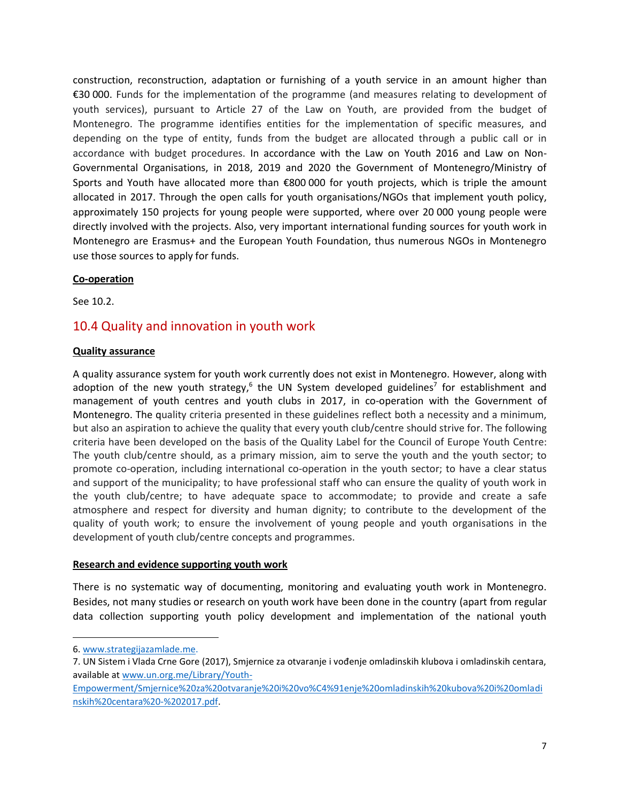construction, reconstruction, adaptation or furnishing of a youth service in an amount higher than €30 000. Funds for the implementation of the programme (and measures relating to development of youth services), pursuant to Article 27 of the Law on Youth, are provided from the budget of Montenegro. The programme identifies entities for the implementation of specific measures, and depending on the type of entity, funds from the budget are allocated through a public call or in accordance with budget procedures. In accordance with the Law on Youth 2016 and Law on Non-Governmental Organisations, in 2018, 2019 and 2020 the Government of Montenegro/Ministry of Sports and Youth have allocated more than €800 000 for youth projects, which is triple the amount allocated in 2017. Through the open calls for youth organisations/NGOs that implement youth policy, approximately 150 projects for young people were supported, where over 20 000 young people were directly involved with the projects. Also, very important international funding sources for youth work in Montenegro are Erasmus+ and the European Youth Foundation, thus numerous NGOs in Montenegro use those sources to apply for funds.

#### **Co-operation**

See 10.2.

### 10.4 Quality and innovation in youth work

#### **Quality assurance**

A quality assurance system for youth work currently does not exist in Montenegro. However, along with adoption of the new youth strategy,<sup>6</sup> the UN System developed guidelines<sup>7</sup> for establishment and management of youth centres and youth clubs in 2017, in co-operation with the Government of Montenegro. The quality criteria presented in these guidelines reflect both a necessity and a minimum, but also an aspiration to achieve the quality that every youth club/centre should strive for. The following criteria have been developed on the basis of the Quality Label for the Council of Europe Youth Centre: The youth club/centre should, as a primary mission, aim to serve the youth and the youth sector; to promote co-operation, including international co-operation in the youth sector; to have a clear status and support of the municipality; to have professional staff who can ensure the quality of youth work in the youth club/centre; to have adequate space to accommodate; to provide and create a safe atmosphere and respect for diversity and human dignity; to contribute to the development of the quality of youth work; to ensure the involvement of young people and youth organisations in the development of youth club/centre concepts and programmes.

#### **Research and evidence supporting youth work**

There is no systematic way of documenting, monitoring and evaluating youth work in Montenegro. Besides, not many studies or research on youth work have been done in the country (apart from regular data collection supporting youth policy development and implementation of the national youth

<sup>6.</sup> [www.strategijazamlade.me.](http://www.strategijazamlade.me/)

<sup>7</sup>. UN Sistem i Vlada Crne Gore (2017), Smjernice za otvaranje i vođenje omladinskih klubova i omladinskih centara, available a[t www.un.org.me/Library/Youth-](www.un.org.me/Library/Youth-Empowerment/Smjernice%20za%20otvaranje%20i%20vo%C4%91enje%20omladinskih%20kubova%20i%20omladinskih%20centara%20-%202017.pdf)

[Empowerment/Smjernice%20za%20otvaranje%20i%20vo%C4%91enje%20omladinskih%20kubova%20i%20omladi](www.un.org.me/Library/Youth-Empowerment/Smjernice%20za%20otvaranje%20i%20vo%C4%91enje%20omladinskih%20kubova%20i%20omladinskih%20centara%20-%202017.pdf) [nskih%20centara%20-%202017.pdf.](www.un.org.me/Library/Youth-Empowerment/Smjernice%20za%20otvaranje%20i%20vo%C4%91enje%20omladinskih%20kubova%20i%20omladinskih%20centara%20-%202017.pdf)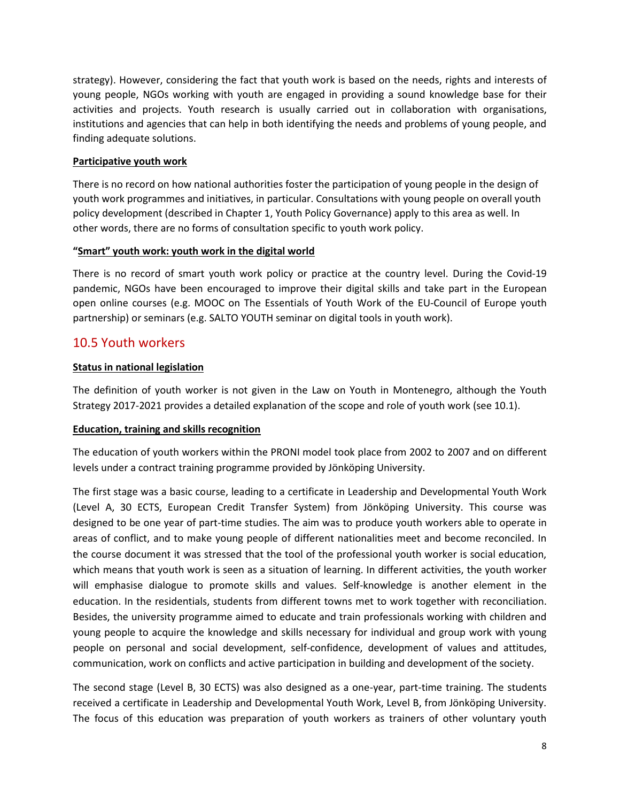strategy). However, considering the fact that youth work is based on the needs, rights and interests of young people, NGOs working with youth are engaged in providing a sound knowledge base for their activities and projects. Youth research is usually carried out in collaboration with organisations, institutions and agencies that can help in both identifying the needs and problems of young people, and finding adequate solutions.

#### **Participative youth work**

There is no record on how national authorities foster the participation of young people in the design of youth work programmes and initiatives, in particular. Consultations with young people on overall youth policy development (described in Chapter 1, Youth Policy Governance) apply to this area as well. In other words, there are no forms of consultation specific to youth work policy.

#### **"Smart" youth work: youth work in the digital world**

There is no record of smart youth work policy or practice at the country level. During the Covid-19 pandemic, NGOs have been encouraged to improve their digital skills and take part in the European open online courses (e.g. MOOC on The Essentials of Youth Work of the EU-Council of Europe youth partnership) or seminars (e.g. SALTO YOUTH seminar on digital tools in youth work).

### 10.5 Youth workers

#### **Status in national legislation**

The definition of youth worker is not given in the Law on Youth in Montenegro, although the Youth Strategy 2017-2021 provides a detailed explanation of the scope and role of youth work (see 10.1).

#### **Education, training and skills recognition**

The education of youth workers within the PRONI model took place from 2002 to 2007 and on different levels under a contract training programme provided by Jönköping University.

The first stage was a basic course, leading to a certificate in Leadership and Developmental Youth Work (Level A, 30 ECTS, European Credit Transfer System) from Jönköping University. This course was designed to be one year of part-time studies. The aim was to produce youth workers able to operate in areas of conflict, and to make young people of different nationalities meet and become reconciled. In the course document it was stressed that the tool of the professional youth worker is social education, which means that youth work is seen as a situation of learning. In different activities, the youth worker will emphasise dialogue to promote skills and values. Self-knowledge is another element in the education. In the residentials, students from different towns met to work together with reconciliation. Besides, the university programme aimed to educate and train professionals working with children and young people to acquire the knowledge and skills necessary for individual and group work with young people on personal and social development, self-confidence, development of values and attitudes, communication, work on conflicts and active participation in building and development of the society.

The second stage (Level B, 30 ECTS) was also designed as a one-year, part-time training. The students received a certificate in Leadership and Developmental Youth Work, Level B, from Jönköping University. The focus of this education was preparation of youth workers as trainers of other voluntary youth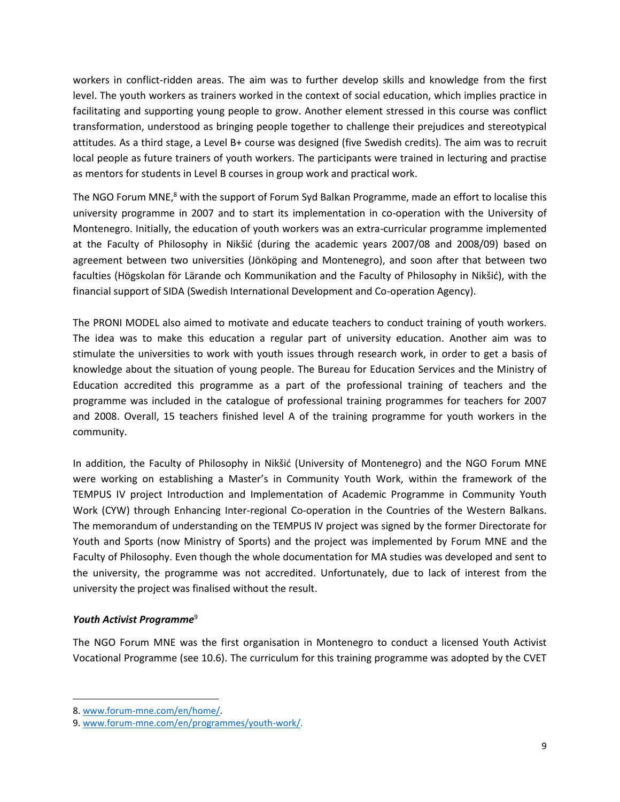workers in conflict-ridden areas. The aim was to further develop skills and knowledge from the first level. The youth workers as trainers worked in the context of social education, which implies practice in facilitating and supporting young people to grow. Another element stressed in this course was conflict transformation, understood as bringing people together to challenge their prejudices and stereotypical attitudes. As a third stage, a Level B+ course was designed (five Swedish credits). The aim was to recruit local people as future trainers of youth workers. The participants were trained in lecturing and practise as mentors for students in Level B courses in group work and practical work.

The NGO Forum MNE,<sup>8</sup> with the support of Forum Syd Balkan Programme, made an effort to localise this university programme in 2007 and to start its implementation in co-operation with the University of Montenegro. Initially, the education of youth workers was an extra-curricular programme implemented at the Faculty of Philosophy in Nikšić (during the academic years 2007/08 and 2008/09) based on agreement between two universities (Jönköping and Montenegro), and soon after that between two faculties (Högskolan för Lärande och Kommunikation and the Faculty of Philosophy in Nikšić), with the financial support of SIDA (Swedish International Development and Co-operation Agency).

The PRONI MODEL also aimed to motivate and educate teachers to conduct training of youth workers. The idea was to make this education a regular part of university education. Another aim was to stimulate the universities to work with youth issues through research work, in order to get a basis of knowledge about the situation of young people. The Bureau for Education Services and the Ministry of Education accredited this programme as a part of the professional training of teachers and the programme was included in the catalogue of professional training programmes for teachers for 2007 and 2008. Overall, 15 teachers finished level A of the training programme for youth workers in the community.

In addition, the Faculty of Philosophy in Nikšić (University of Montenegro) and the NGO Forum MNE were working on establishing a Master's in Community Youth Work, within the framework of the TEMPUS IV project Introduction and Implementation of Academic Programme in Community Youth Work (CYW) through Enhancing Inter-regional Co-operation in the Countries of the Western Balkans. The memorandum of understanding on the TEMPUS IV project was signed by the former Directorate for Youth and Sports (now Ministry of Sports) and the project was implemented by Forum MNE and the Faculty of Philosophy. Even though the whole documentation for MA studies was developed and sent to the university, the programme was not accredited. Unfortunately, due to lack of interest from the university the project was finalised without the result.

#### *Youth Activist Programme*<sup>9</sup>

The NGO Forum MNE was the first organisation in Montenegro to conduct a licensed Youth Activist Vocational Programme (see 10.6). The curriculum for this training programme was adopted by the CVET

<sup>8.</sup> [www.forum-mne.com/en/home/.](www.forum-mne.com/en/home/)

<sup>9.</sup> [www.forum-mne.com/en/programmes/youth-work/.](www.forum-mne.com/en/programmes/youth-work/)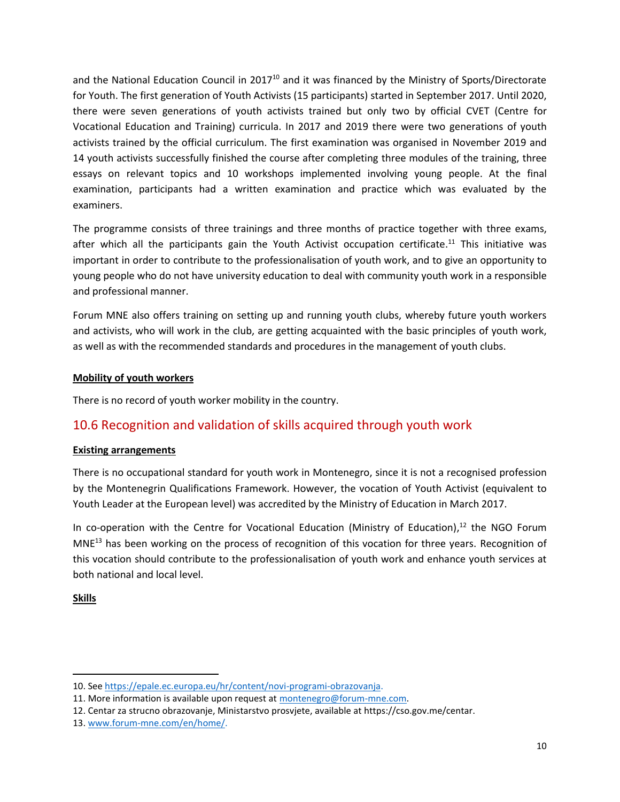and the National Education Council in 2017<sup>10</sup> and it was financed by the Ministry of Sports/Directorate for Youth. The first generation of Youth Activists (15 participants) started in September 2017. Until 2020, there were seven generations of youth activists trained but only two by official CVET (Centre for Vocational Education and Training) curricula. In 2017 and 2019 there were two generations of youth activists trained by the official curriculum. The first examination was organised in November 2019 and 14 youth activists successfully finished the course after completing three modules of the training, three essays on relevant topics and 10 workshops implemented involving young people. At the final examination, participants had a written examination and practice which was evaluated by the examiners.

The programme consists of three trainings and three months of practice together with three exams, after which all the participants gain the Youth Activist occupation certificate.<sup>11</sup> This initiative was important in order to contribute to the professionalisation of youth work, and to give an opportunity to young people who do not have university education to deal with community youth work in a responsible and professional manner.

Forum MNE also offers training on setting up and running youth clubs, whereby future youth workers and activists, who will work in the club, are getting acquainted with the basic principles of youth work, as well as with the recommended standards and procedures in the management of youth clubs.

#### **Mobility of youth workers**

There is no record of youth worker mobility in the country.

## 10.6 Recognition and validation of skills acquired through youth work

#### **Existing arrangements**

There is no occupational standard for youth work in Montenegro, since it is not a recognised profession by the Montenegrin Qualifications Framework. However, the vocation of Youth Activist (equivalent to Youth Leader at the European level) was accredited by the Ministry of Education in March 2017.

In co-operation with the Centre for Vocational Education (Ministry of Education), <sup>12</sup> the NGO Forum MNE<sup>13</sup> has been working on the process of recognition of this vocation for three years. Recognition of this vocation should contribute to the professionalisation of youth work and enhance youth services at both national and local level.

**Skills**

<sup>10.</sup> Se[e https://epale.ec.europa.eu/hr/content/novi-programi-obrazovanja.](https://epale.ec.europa.eu/hr/content/novi-programi-obrazovanja)

<sup>11.</sup> More information is available upon request at [montenegro@forum-mne.com.](mailto:montenegro@forum-mne.com)

<sup>12.</sup> Centar za strucno obrazovanje, Ministarstvo prosvjete, available at https://cso.gov.me/centar.

<sup>13.</sup> [www.forum-mne.com/en/home/.](www.forum-mne.com/en/home/)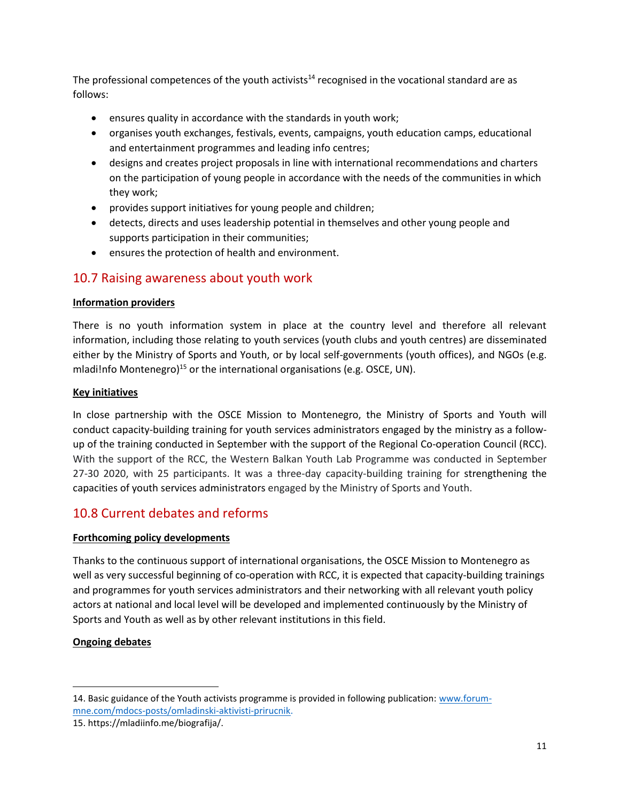The professional competences of the youth activists<sup>14</sup> recognised in the vocational standard are as follows:

- ensures quality in accordance with the standards in youth work;
- organises youth exchanges, festivals, events, campaigns, youth education camps, educational and entertainment programmes and leading info centres;
- designs and creates project proposals in line with international recommendations and charters on the participation of young people in accordance with the needs of the communities in which they work;
- provides support initiatives for young people and children;
- detects, directs and uses leadership potential in themselves and other young people and supports participation in their communities;
- ensures the protection of health and environment.

### 10.7 Raising awareness about youth work

#### **Information providers**

There is no youth information system in place at the country level and therefore all relevant information, including those relating to youth services (youth clubs and youth centres) are disseminated either by the Ministry of Sports and Youth, or by local self-governments (youth offices), and NGOs (e.g. mladi!nfo Montenegro)<sup>15</sup> or the international organisations (e.g. OSCE, UN).

#### **Key initiatives**

In close partnership with the OSCE Mission to Montenegro, the Ministry of Sports and Youth will conduct capacity-building training for youth services administrators engaged by the ministry as a followup of the training conducted in September with the support of the Regional Co-operation Council (RCC). With the support of the RCC, the Western Balkan Youth Lab Programme was conducted in September 27-30 2020, with 25 participants. It was a three-day capacity-building training for strengthening the capacities of youth services administrators engaged by the Ministry of Sports and Youth.

## 10.8 Current debates and reforms

#### **Forthcoming policy developments**

Thanks to the continuous support of international organisations, the OSCE Mission to Montenegro as well as very successful beginning of co-operation with RCC, it is expected that capacity-building trainings and programmes for youth services administrators and their networking with all relevant youth policy actors at national and local level will be developed and implemented continuously by the Ministry of Sports and Youth as well as by other relevant institutions in this field.

#### **Ongoing debates**

<sup>14.</sup> Basic guidance of the Youth activists programme is provided in following publication: [www.forum](www.forum-mne.com/mdocs-posts/omladinski-aktivisti-prirucnik)[mne.com/mdocs-posts/omladinski-aktivisti-prirucnik.](www.forum-mne.com/mdocs-posts/omladinski-aktivisti-prirucnik)

<sup>15.</sup> https://mladiinfo.me/biografija/.